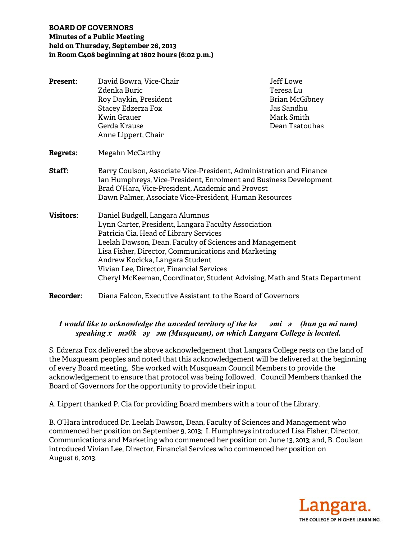# **BOARD OF GOVERNORS Minutes of a Public Meeting held on Thursday, September 26, 2013 in Room C408 beginning at 1802 hours (6:02 p.m.)**

| <b>Present:</b>  | David Bowra, Vice-Chair<br>Zdenka Buric<br>Roy Daykin, President<br>Stacey Edzerza Fox<br><b>Kwin Grauer</b><br>Gerda Krause<br>Anne Lippert, Chair                                                                                                                                                                                                                                                            | Jeff Lowe<br>Teresa Lu<br>Brian McGibney<br>Jas Sandhu<br>Mark Smith<br>Dean Tsatouhas |
|------------------|----------------------------------------------------------------------------------------------------------------------------------------------------------------------------------------------------------------------------------------------------------------------------------------------------------------------------------------------------------------------------------------------------------------|----------------------------------------------------------------------------------------|
| <b>Regrets:</b>  | Megahn McCarthy                                                                                                                                                                                                                                                                                                                                                                                                |                                                                                        |
| Staff:           | Barry Coulson, Associate Vice-President, Administration and Finance<br>Ian Humphreys, Vice-President, Enrolment and Business Development<br>Brad O'Hara, Vice-President, Academic and Provost<br>Dawn Palmer, Associate Vice-President, Human Resources                                                                                                                                                        |                                                                                        |
| <b>Visitors:</b> | Daniel Budgell, Langara Alumnus<br>Lynn Carter, President, Langara Faculty Association<br>Patricia Cia, Head of Library Services<br>Leelah Dawson, Dean, Faculty of Sciences and Management<br>Lisa Fisher, Director, Communications and Marketing<br>Andrew Kocicka, Langara Student<br>Vivian Lee, Director, Financial Services<br>Cheryl McKeeman, Coordinator, Student Advising, Math and Stats Department |                                                                                        |
| <b>Recorder:</b> | Diana Falcon, Executive Assistant to the Board of Governors                                                                                                                                                                                                                                                                                                                                                    |                                                                                        |

# *I would like to acknowledge the unceded territory of the həəmiə (hun ga mi num) speaking xməθkəyəm (Musqueam), on which Langara College is located.*

S. Edzerza Fox delivered the above acknowledgement that Langara College rests on the land of the Musqueam peoples and noted that this acknowledgement will be delivered at the beginning of every Board meeting. She worked with Musqueam Council Members to provide the acknowledgement to ensure that protocol was being followed. Council Members thanked the Board of Governors for the opportunity to provide their input.

A. Lippert thanked P. Cia for providing Board members with a tour of the Library.

B. O'Hara introduced Dr. Leelah Dawson, Dean, Faculty of Sciences and Management who commenced her position on September 9, 2013; I. Humphreys introduced Lisa Fisher, Director, Communications and Marketing who commenced her position on June 13, 2013; and, B. Coulson introduced Vivian Lee, Director, Financial Services who commenced her position on August 6, 2013.

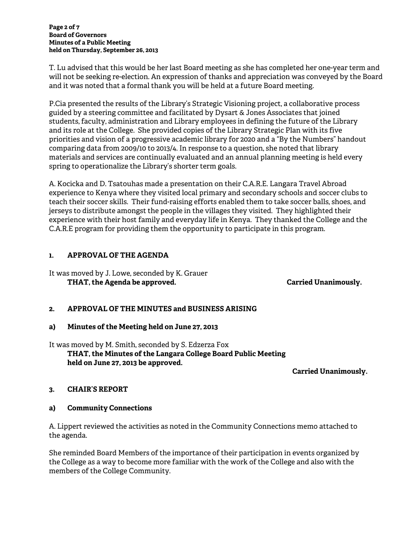**Page 2 of 7 Board of Governors Minutes of a Public Meeting held on Thursday, September 26, 2013** 

T. Lu advised that this would be her last Board meeting as she has completed her one-year term and will not be seeking re-election. An expression of thanks and appreciation was conveyed by the Board and it was noted that a formal thank you will be held at a future Board meeting.

P.Cia presented the results of the Library's Strategic Visioning project, a collaborative process guided by a steering committee and facilitated by Dysart & Jones Associates that joined students, faculty, administration and Library employees in defining the future of the Library and its role at the College. She provided copies of the Library Strategic Plan with its five priorities and vision of a progressive academic library for 2020 and a "By the Numbers" handout comparing data from 2009/10 to 2013/4. In response to a question, she noted that library materials and services are continually evaluated and an annual planning meeting is held every spring to operationalize the Library's shorter term goals.

A. Kocicka and D. Tsatouhas made a presentation on their C.A.R.E. Langara Travel Abroad experience to Kenya where they visited local primary and secondary schools and soccer clubs to teach their soccer skills. Their fund-raising efforts enabled them to take soccer balls, shoes, and jerseys to distribute amongst the people in the villages they visited. They highlighted their experience with their host family and everyday life in Kenya. They thanked the College and the C.A.R.E program for providing them the opportunity to participate in this program.

# **1. APPROVAL OF THE AGENDA**

It was moved by J. Lowe, seconded by K. Grauer THAT, the Agenda be approved. **Carried Unanimously.** Carried Unanimously.

# **2. APPROVAL OF THE MINUTES and BUSINESS ARISING**

## **a) Minutes of the Meeting held on June 27, 2013**

It was moved by M. Smith, seconded by S. Edzerza Fox  **THAT, the Minutes of the Langara College Board Public Meeting held on June 27, 2013 be approved.** 

**Carried Unanimously.** 

## **3. CHAIR'S REPORT**

## **a) Community Connections**

A. Lippert reviewed the activities as noted in the Community Connections memo attached to the agenda.

She reminded Board Members of the importance of their participation in events organized by the College as a way to become more familiar with the work of the College and also with the members of the College Community.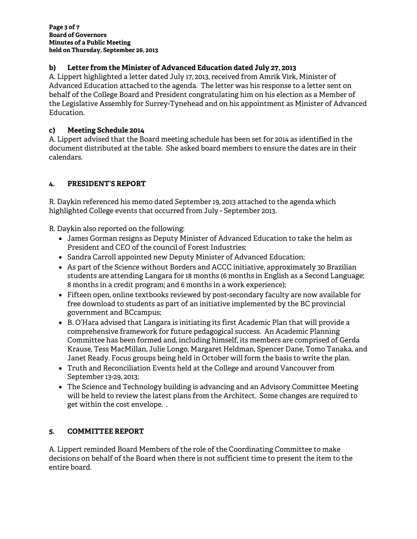# **b) Letter from the Minister of Advanced Education dated July 27, 2013**

A. Lippert highlighted a letter dated July 17, 2013, received from Amrik Virk, Minister of Advanced Education attached to the agenda. The letter was his response to a letter sent on behalf of the College Board and President congratulating him on his election as a Member of the Legislative Assembly for Surrey-Tynehead and on his appointment as Minister of Advanced Education.

# **c) Meeting Schedule 2014**

A. Lippert advised that the Board meeting schedule has been set for 2014 as identified in the document distributed at the table. She asked board members to ensure the dates are in their calendars.

# **4. PRESIDENT'S REPORT**

R. Daykin referenced his memo dated September 19, 2013 attached to the agenda which highlighted College events that occurred from July - September 2013.

R. Daykin also reported on the following:

- James Gorman resigns as Deputy Minister of Advanced Education to take the helm as President and CEO of the council of Forest Industries;
- Sandra Carroll appointed new Deputy Minister of Advanced Education;
- As part of the Science without Borders and ACCC initiative, approximately 30 Brazilian students are attending Langara for 18 months (6 months in English as a Second Language; 8 months in a credit program; and 6 months in a work experience);
- Fifteen open, online textbooks reviewed by post-secondary faculty are now available for free download to students as part of an initiative implemented by the BC provincial government and BCcampus;
- B. O'Hara advised that Langara is initiating its first Academic Plan that will provide a comprehensive framework for future pedagogical success. An Academic Planning Committee has been formed and, including himself, its members are comprised of Gerda Krause, Tess MacMillan, Julie Longo, Margaret Heldman, Spencer Dane, Tomo Tanaka, and Janet Ready. Focus groups being held in October will form the basis to write the plan.
- Truth and Reconciliation Events held at the College and around Vancouver from September 13-29, 2013;
- The Science and Technology building is advancing and an Advisory Committee Meeting will be held to review the latest plans from the Architect. Some changes are required to get within the cost envelope. .

# **5. COMMITTEE REPORT**

A. Lippert reminded Board Members of the role of the Coordinating Committee to make decisions on behalf of the Board when there is not sufficient time to present the item to the entire board.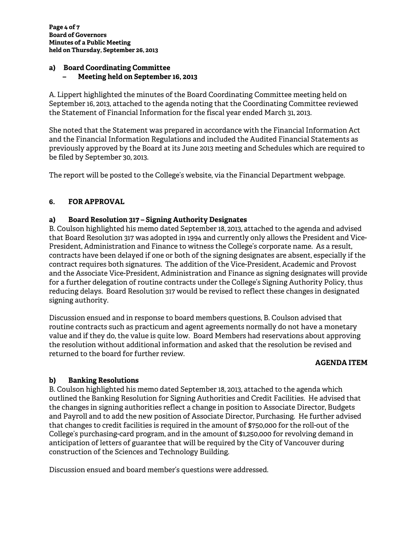#### **a) Board Coordinating Committee – Meeting held on September 16, 2013**

A. Lippert highlighted the minutes of the Board Coordinating Committee meeting held on September 16, 2013, attached to the agenda noting that the Coordinating Committee reviewed the Statement of Financial Information for the fiscal year ended March 31, 2013.

She noted that the Statement was prepared in accordance with the Financial Information Act and the Financial Information Regulations and included the Audited Financial Statements as previously approved by the Board at its June 2013 meeting and Schedules which are required to be filed by September 30, 2013.

The report will be posted to the College's website, via the Financial Department webpage.

# **6. FOR APPROVAL**

# **a) Board Resolution 317 – Signing Authority Designates**

B. Coulson highlighted his memo dated September 18, 2013, attached to the agenda and advised that Board Resolution 317 was adopted in 1994 and currently only allows the President and Vice-President, Administration and Finance to witness the College's corporate name. As a result, contracts have been delayed if one or both of the signing designates are absent, especially if the contract requires both signatures. The addition of the Vice-President, Academic and Provost and the Associate Vice-President, Administration and Finance as signing designates will provide for a further delegation of routine contracts under the College's Signing Authority Policy, thus reducing delays. Board Resolution 317 would be revised to reflect these changes in designated signing authority.

Discussion ensued and in response to board members questions, B. Coulson advised that routine contracts such as practicum and agent agreements normally do not have a monetary value and if they do, the value is quite low. Board Members had reservations about approving the resolution without additional information and asked that the resolution be revised and returned to the board for further review.

## **AGENDA ITEM**

# **b) Banking Resolutions**

B. Coulson highlighted his memo dated September 18, 2013, attached to the agenda which outlined the Banking Resolution for Signing Authorities and Credit Facilities. He advised that the changes in signing authorities reflect a change in position to Associate Director, Budgets and Payroll and to add the new position of Associate Director, Purchasing. He further advised that changes to credit facilities is required in the amount of \$750,000 for the roll-out of the College's purchasing-card program, and in the amount of \$1,250,000 for revolving demand in anticipation of letters of guarantee that will be required by the City of Vancouver during construction of the Sciences and Technology Building.

Discussion ensued and board member's questions were addressed.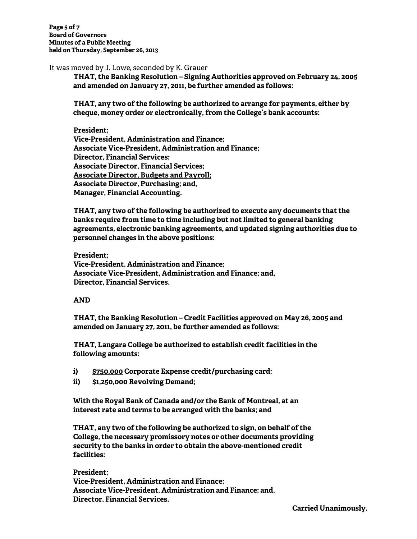**Page 5 of 7 Board of Governors Minutes of a Public Meeting held on Thursday, September 26, 2013** 

It was moved by J. Lowe, seconded by K. Grauer

**THAT, the Banking Resolution – Signing Authorities approved on February 24, 2005 and amended on January 27, 2011, be further amended as follows:** 

**THAT, any two of the following be authorized to arrange for payments, either by cheque, money order or electronically, from the College's bank accounts:** 

#### **President;**

**Vice-President, Administration and Finance; Associate Vice-President, Administration and Finance; Director, Financial Services; Associate Director, Financial Services; Associate Director, Budgets and Payroll; Associate Director, Purchasing; and, Manager, Financial Accounting.** 

**THAT, any two of the following be authorized to execute any documents that the banks require from time to time including but not limited to general banking agreements, electronic banking agreements, and updated signing authorities due to personnel changes in the above positions:** 

#### **President;**

**Vice-President, Administration and Finance; Associate Vice-President, Administration and Finance; and, Director, Financial Services.** 

#### **AND**

**THAT, the Banking Resolution – Credit Facilities approved on May 26, 2005 and amended on January 27, 2011, be further amended as follows:** 

**THAT, Langara College be authorized to establish credit facilities in the following amounts:** 

- **i) \$750,000 Corporate Expense credit/purchasing card;**
- **ii) \$1,250,000 Revolving Demand;**

**With the Royal Bank of Canada and/or the Bank of Montreal, at an interest rate and terms to be arranged with the banks; and** 

**THAT, any two of the following be authorized to sign, on behalf of the College, the necessary promissory notes or other documents providing security to the banks in order to obtain the above-mentioned credit facilities:** 

**President; Vice-President, Administration and Finance; Associate Vice-President, Administration and Finance; and, Director, Financial Services.**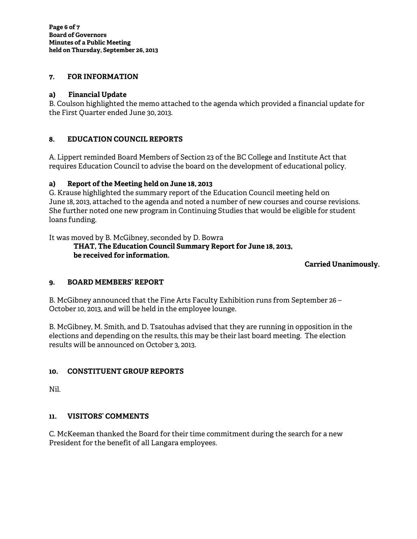## **7. FOR INFORMATION**

## **a) Financial Update**

B. Coulson highlighted the memo attached to the agenda which provided a financial update for the First Quarter ended June 30, 2013.

## **8. EDUCATION COUNCIL REPORTS**

A. Lippert reminded Board Members of Section 23 of the BC College and Institute Act that requires Education Council to advise the board on the development of educational policy.

# **a) Report of the Meeting held on June 18, 2013**

G. Krause highlighted the summary report of the Education Council meeting held on June 18, 2013, attached to the agenda and noted a number of new courses and course revisions. She further noted one new program in Continuing Studies that would be eligible for student loans funding.

It was moved by B. McGibney, seconded by D. Bowra

**THAT, The Education Council Summary Report for June 18, 2013, be received for information.** 

## **Carried Unanimously.**

## **9. BOARD MEMBERS' REPORT**

B. McGibney announced that the Fine Arts Faculty Exhibition runs from September 26 – October 10, 2013, and will be held in the employee lounge.

B. McGibney, M. Smith, and D. Tsatouhas advised that they are running in opposition in the elections and depending on the results, this may be their last board meeting. The election results will be announced on October 3, 2013.

## **10. CONSTITUENT GROUP REPORTS**

Nil.

## **11. VISITORS' COMMENTS**

C. McKeeman thanked the Board for their time commitment during the search for a new President for the benefit of all Langara employees.